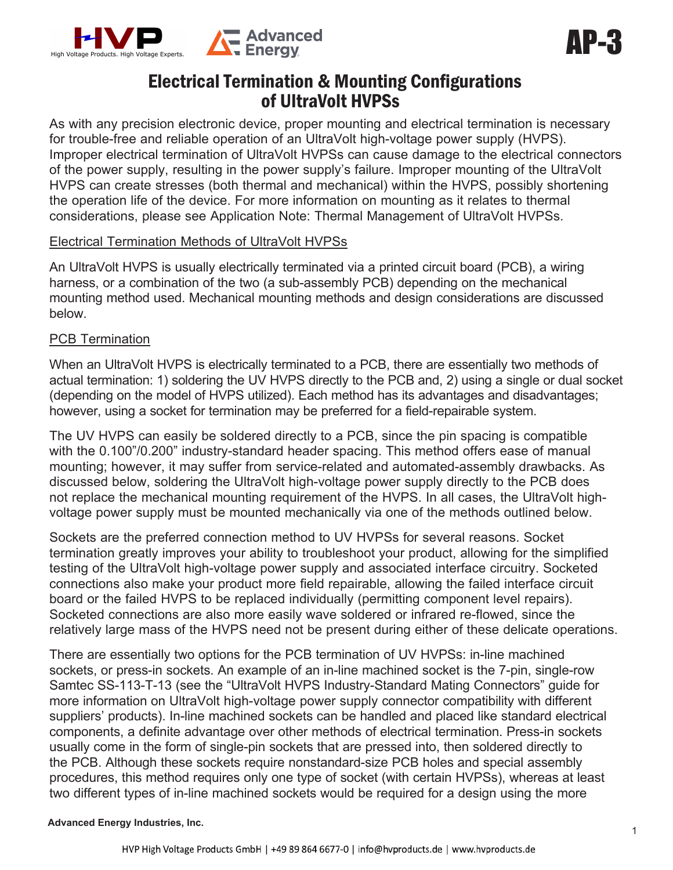

# Electrical Termination & Mounting Configurations of UltraVolt HVPSs

As with any precision electronic device, proper mounting and electrical termination is necessary for trouble-free and reliable operation of an UltraVolt high-voltage power supply (HVPS). Improper electrical termination of UltraVolt HVPSs can cause damage to the electrical connectors of the power supply, resulting in the power supply's failure. Improper mounting of the UltraVolt HVPS can create stresses (both thermal and mechanical) within the HVPS, possibly shortening the operation life of the device. For more information on mounting as it relates to thermal considerations, please see Application Note: Thermal Management of UltraVolt HVPSs.

#### Electrical Termination Methods of UltraVolt HVPSs

An UltraVolt HVPS is usually electrically terminated via a printed circuit board (PCB), a wiring harness, or a combination of the two (a sub-assembly PCB) depending on the mechanical mounting method used. Mechanical mounting methods and design considerations are discussed below.

## PCB Termination

When an UltraVolt HVPS is electrically terminated to a PCB, there are essentially two methods of actual termination: 1) soldering the UV HVPS directly to the PCB and, 2) using a single or dual socket (depending on the model of HVPS utilized). Each method has its advantages and disadvantages; however, using a socket for termination may be preferred for a field-repairable system.

The UV HVPS can easily be soldered directly to a PCB, since the pin spacing is compatible with the 0.100"/0.200" industry-standard header spacing. This method offers ease of manual mounting; however, it may suffer from service-related and automated-assembly drawbacks. As discussed below, soldering the UltraVolt high-voltage power supply directly to the PCB does not replace the mechanical mounting requirement of the HVPS. In all cases, the UltraVolt highvoltage power supply must be mounted mechanically via one of the methods outlined below.

Sockets are the preferred connection method to UV HVPSs for several reasons. Socket termination greatly improves your ability to troubleshoot your product, allowing for the simplified testing of the UltraVolt high-voltage power supply and associated interface circuitry. Socketed connections also make your product more field repairable, allowing the failed interface circuit board or the failed HVPS to be replaced individually (permitting component level repairs). Socketed connections are also more easily wave soldered or infrared re-flowed, since the relatively large mass of the HVPS need not be present during either of these delicate operations.

There are essentially two options for the PCB termination of UV HVPSs: in-line machined sockets, or press-in sockets. An example of an in-line machined socket is the 7-pin, single-row Samtec SS-113-T-13 (see the "UltraVolt HVPS Industry-Standard Mating Connectors" guide for more information on UltraVolt high-voltage power supply connector compatibility with different suppliers' products). In-line machined sockets can be handled and placed like standard electrical components, a definite advantage over other methods of electrical termination. Press-in sockets usually come in the form of single-pin sockets that are pressed into, then soldered directly to the PCB. Although these sockets require nonstandard-size PCB holes and special assembly procedures, this method requires only one type of socket (with certain HVPSs), whereas at least two different types of in-line machined sockets would be required for a design using the more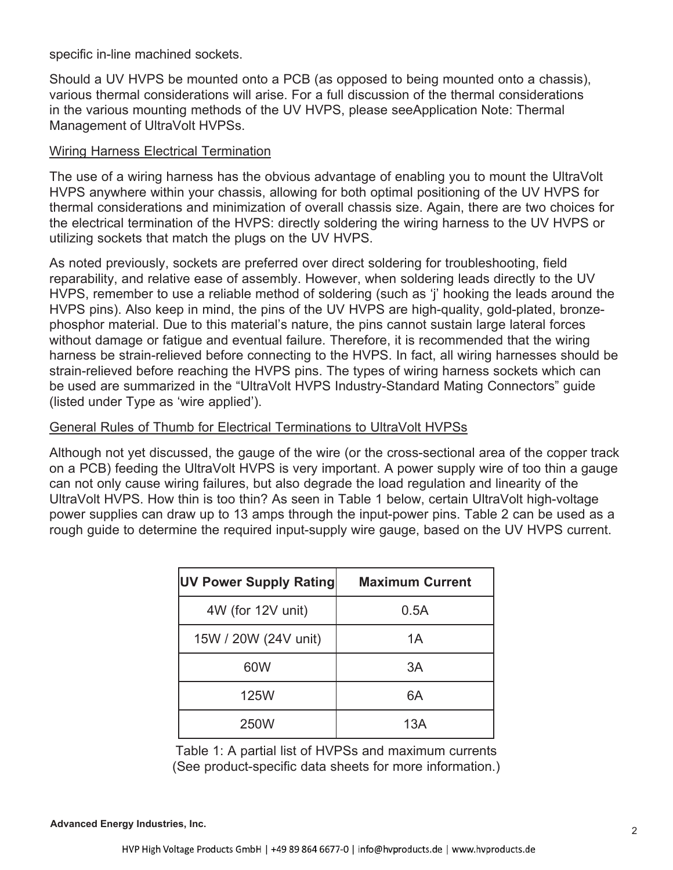specific in-line machined sockets.

Should a UV HVPS be mounted onto a PCB (as opposed to being mounted onto a chassis), various thermal considerations will arise. For a full discussion of the thermal considerations in the various mounting methods of the UV HVPS, please seeApplication Note: Thermal Management of UltraVolt HVPSs.

## Wiring Harness Electrical Termination

The use of a wiring harness has the obvious advantage of enabling you to mount the UltraVolt HVPS anywhere within your chassis, allowing for both optimal positioning of the UV HVPS for thermal considerations and minimization of overall chassis size. Again, there are two choices for the electrical termination of the HVPS: directly soldering the wiring harness to the UV HVPS or utilizing sockets that match the plugs on the UV HVPS.

As noted previously, sockets are preferred over direct soldering for troubleshooting, field reparability, and relative ease of assembly. However, when soldering leads directly to the UV HVPS, remember to use a reliable method of soldering (such as 'j' hooking the leads around the HVPS pins). Also keep in mind, the pins of the UV HVPS are high-quality, gold-plated, bronzephosphor material. Due to this material's nature, the pins cannot sustain large lateral forces without damage or fatigue and eventual failure. Therefore, it is recommended that the wiring harness be strain-relieved before connecting to the HVPS. In fact, all wiring harnesses should be strain-relieved before reaching the HVPS pins. The types of wiring harness sockets which can be used are summarized in the "UltraVolt HVPS Industry-Standard Mating Connectors" guide (listed under Type as 'wire applied').

## General Rules of Thumb for Electrical Terminations to UltraVolt HVPSs

Although not yet discussed, the gauge of the wire (or the cross-sectional area of the copper track on a PCB) feeding the UltraVolt HVPS is very important. A power supply wire of too thin a gauge can not only cause wiring failures, but also degrade the load regulation and linearity of the UltraVolt HVPS. How thin is too thin? As seen in Table 1 below, certain UltraVolt high-voltage power supplies can draw up to 13 amps through the input-power pins. Table 2 can be used as a rough guide to determine the required input-supply wire gauge, based on the UV HVPS current.

| <b>UV Power Supply Rating</b> | <b>Maximum Current</b> |  |
|-------------------------------|------------------------|--|
| 4W (for 12V unit)             | 0.5A                   |  |
| 15W / 20W (24V unit)          | 1A                     |  |
| 60W                           | 3A                     |  |
| <b>125W</b>                   | 6A                     |  |
| <b>250W</b>                   | 13A                    |  |

Table 1: A partial list of HVPSs and maximum currents (See product-specific data sheets for more information.)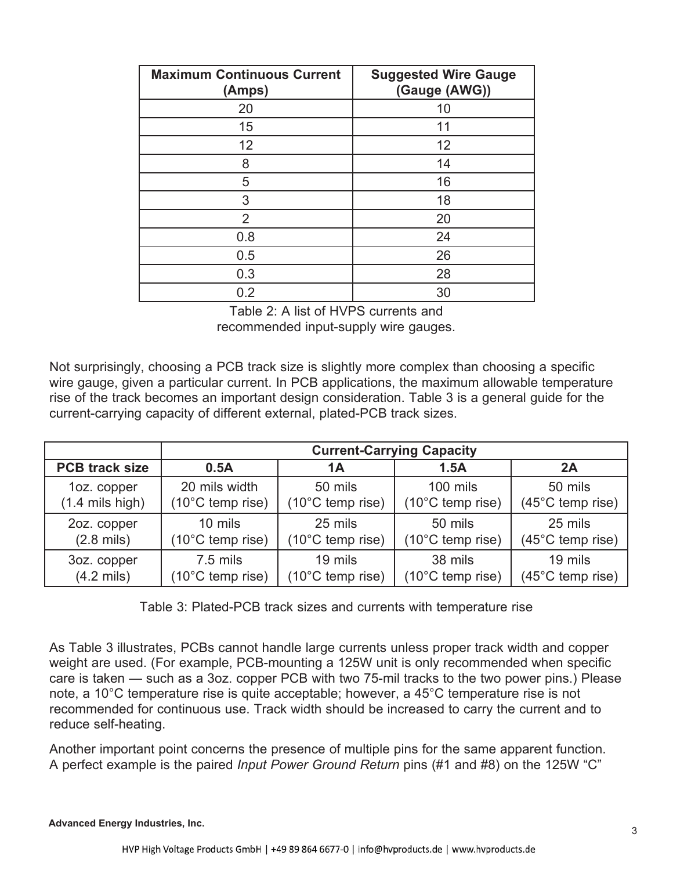| <b>Maximum Continuous Current</b><br>(Amps) | <b>Suggested Wire Gauge</b><br>(Gauge (AWG)) |  |
|---------------------------------------------|----------------------------------------------|--|
| 20                                          | 10                                           |  |
| 15                                          | 11                                           |  |
| 12                                          | 12                                           |  |
| 8                                           | 14                                           |  |
| 5                                           | 16                                           |  |
| 3                                           | 18                                           |  |
| $\overline{2}$                              | 20                                           |  |
| 0.8                                         | 24                                           |  |
| 0.5                                         | 26                                           |  |
| 0.3                                         | 28                                           |  |
| 0.2                                         | 30                                           |  |

Table 2: A list of HVPS currents and recommended input-supply wire gauges.

Not surprisingly, choosing a PCB track size is slightly more complex than choosing a specific wire gauge, given a particular current. In PCB applications, the maximum allowable temperature rise of the track becomes an important design consideration. Table 3 is a general guide for the current-carrying capacity of different external, plated-PCB track sizes.

|                            | <b>Current-Carrying Capacity</b> |                            |                  |                  |
|----------------------------|----------------------------------|----------------------------|------------------|------------------|
| <b>PCB track size</b>      | 0.5A                             | 1Α                         | 1.5A             | 2A               |
| 1oz. copper                | 20 mils width                    | 50 mils                    | 100 mils         | 50 mils          |
| $(1.4 \text{ miles high})$ | $(10^{\circ}$ C temp rise)       | $(10^{\circ}$ C temp rise) | (10°C temp rise) | (45°C temp rise) |
| 2oz. copper                | 10 mils                          | 25 mils                    | 50 mils          | 25 mils          |
| $(2.8 \text{ miles})$      | $(10^{\circ}$ C temp rise)       | $(10^{\circ}$ C temp rise) | (10°C temp rise) | (45°C temp rise) |
| 3oz. copper                | 7.5 mils                         | 19 mils                    | 38 mils          | 19 mils          |
| $(4.2 \text{ miles})$      | $(10^{\circ}$ C temp rise)       | $(10^{\circ}$ C temp rise) | (10°C temp rise) | (45°C temp rise) |

Table 3: Plated-PCB track sizes and currents with temperature rise

As Table 3 illustrates, PCBs cannot handle large currents unless proper track width and copper weight are used. (For example, PCB-mounting a 125W unit is only recommended when specific care is taken — such as a 3oz. copper PCB with two 75-mil tracks to the two power pins.) Please note, a 10°C temperature rise is quite acceptable; however, a 45°C temperature rise is not recommended for continuous use. Track width should be increased to carry the current and to reduce self-heating.

Another important point concerns the presence of multiple pins for the same apparent function. A perfect example is the paired *Input Power Ground Return* pins (#1 and #8) on the 125W "C"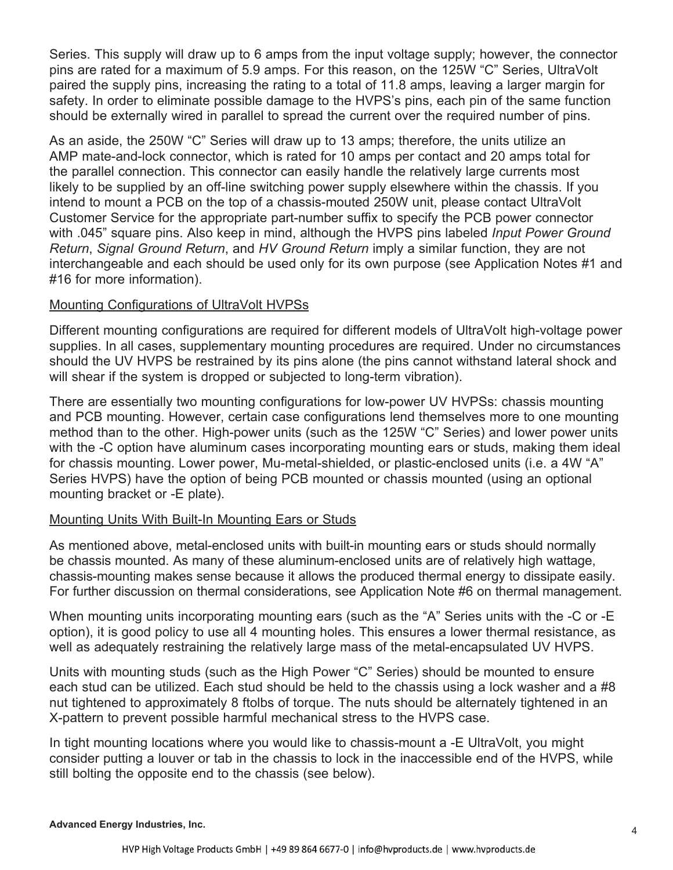Series. This supply will draw up to 6 amps from the input voltage supply; however, the connector pins are rated for a maximum of 5.9 amps. For this reason, on the 125W "C" Series, UltraVolt paired the supply pins, increasing the rating to a total of 11.8 amps, leaving a larger margin for safety. In order to eliminate possible damage to the HVPS's pins, each pin of the same function should be externally wired in parallel to spread the current over the required number of pins.

As an aside, the 250W "C" Series will draw up to 13 amps; therefore, the units utilize an AMP mate-and-lock connector, which is rated for 10 amps per contact and 20 amps total for the parallel connection. This connector can easily handle the relatively large currents most likely to be supplied by an off-line switching power supply elsewhere within the chassis. If you intend to mount a PCB on the top of a chassis-mouted 250W unit, please contact UltraVolt Customer Service for the appropriate part-number suffix to specify the PCB power connector with .045" square pins. Also keep in mind, although the HVPS pins labeled *Input Power Ground Return*, *Signal Ground Return*, and *HV Ground Return* imply a similar function, they are not interchangeable and each should be used only for its own purpose (see Application Notes #1 and #16 for more information).

## Mounting Configurations of UltraVolt HVPSs

Different mounting configurations are required for different models of UltraVolt high-voltage power supplies. In all cases, supplementary mounting procedures are required. Under no circumstances should the UV HVPS be restrained by its pins alone (the pins cannot withstand lateral shock and will shear if the system is dropped or subjected to long-term vibration).

There are essentially two mounting configurations for low-power UV HVPSs: chassis mounting and PCB mounting. However, certain case configurations lend themselves more to one mounting method than to the other. High-power units (such as the 125W "C" Series) and lower power units with the -C option have aluminum cases incorporating mounting ears or studs, making them ideal for chassis mounting. Lower power, Mu-metal-shielded, or plastic-enclosed units (i.e. a 4W "A" Series HVPS) have the option of being PCB mounted or chassis mounted (using an optional mounting bracket or -E plate).

#### Mounting Units With Built-In Mounting Ears or Studs

As mentioned above, metal-enclosed units with built-in mounting ears or studs should normally be chassis mounted. As many of these aluminum-enclosed units are of relatively high wattage, chassis-mounting makes sense because it allows the produced thermal energy to dissipate easily. For further discussion on thermal considerations, see Application Note #6 on thermal management.

When mounting units incorporating mounting ears (such as the "A" Series units with the -C or -E option), it is good policy to use all 4 mounting holes. This ensures a lower thermal resistance, as well as adequately restraining the relatively large mass of the metal-encapsulated UV HVPS.

Units with mounting studs (such as the High Power "C" Series) should be mounted to ensure each stud can be utilized. Each stud should be held to the chassis using a lock washer and a #8 nut tightened to approximately 8 ftolbs of torque. The nuts should be alternately tightened in an X-pattern to prevent possible harmful mechanical stress to the HVPS case.

In tight mounting locations where you would like to chassis-mount a -E UltraVolt, you might consider putting a louver or tab in the chassis to lock in the inaccessible end of the HVPS, while still bolting the opposite end to the chassis (see below).